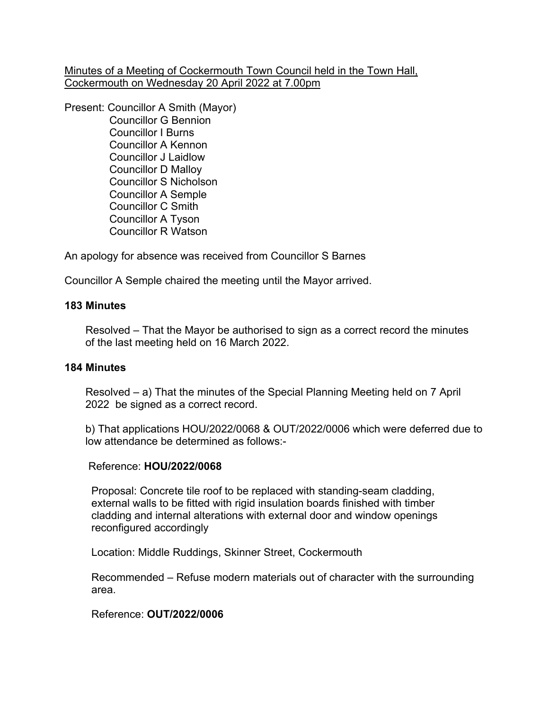Minutes of a Meeting of Cockermouth Town Council held in the Town Hall, Cockermouth on Wednesday 20 April 2022 at 7.00pm

Present: Councillor A Smith (Mayor)

 Councillor G Bennion Councillor I Burns Councillor A Kennon Councillor J Laidlow Councillor D Malloy Councillor S Nicholson Councillor A Semple Councillor C Smith Councillor A Tyson Councillor R Watson

An apology for absence was received from Councillor S Barnes

Councillor A Semple chaired the meeting until the Mayor arrived.

# **183 Minutes**

 Resolved – That the Mayor be authorised to sign as a correct record the minutes of the last meeting held on 16 March 2022.

# **184 Minutes**

 Resolved – a) That the minutes of the Special Planning Meeting held on 7 April 2022 be signed as a correct record.

 b) That applications HOU/2022/0068 & OUT/2022/0006 which were deferred due to low attendance be determined as follows:-

# Reference: **HOU/2022/0068**

 Proposal: Concrete tile roof to be replaced with standing-seam cladding, external walls to be fitted with rigid insulation boards finished with timber cladding and internal alterations with external door and window openings reconfigured accordingly

Location: Middle Ruddings, Skinner Street, Cockermouth

 Recommended – Refuse modern materials out of character with the surrounding area.

Reference: **OUT/2022/0006**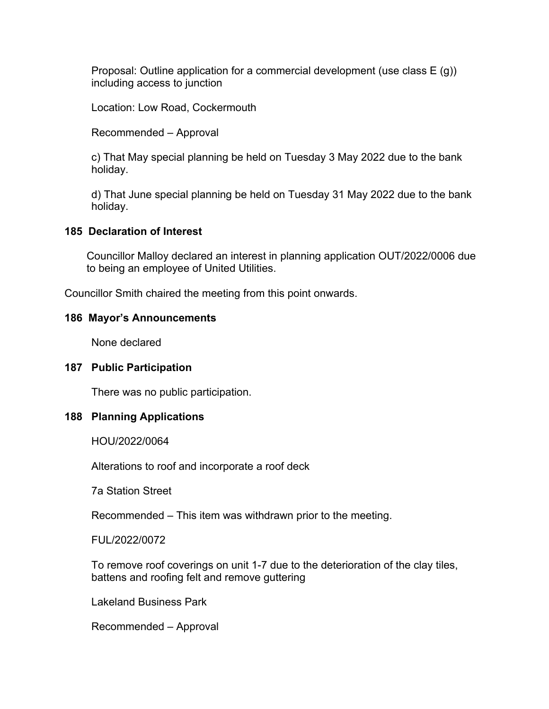Proposal: Outline application for a commercial development (use class E (g)) including access to junction

Location: Low Road, Cockermouth

Recommended – Approval

 c) That May special planning be held on Tuesday 3 May 2022 due to the bank holiday.

 d) That June special planning be held on Tuesday 31 May 2022 due to the bank holiday.

## **185 Declaration of Interest**

Councillor Malloy declared an interest in planning application OUT/2022/0006 due to being an employee of United Utilities.

Councillor Smith chaired the meeting from this point onwards.

## **186 Mayor's Announcements**

None declared

#### **187 Public Participation**

There was no public participation.

#### **188 Planning Applications**

HOU/2022/0064

Alterations to roof and incorporate a roof deck

7a Station Street

Recommended – This item was withdrawn prior to the meeting.

FUL/2022/0072

 To remove roof coverings on unit 1-7 due to the deterioration of the clay tiles, battens and roofing felt and remove guttering

Lakeland Business Park

Recommended – Approval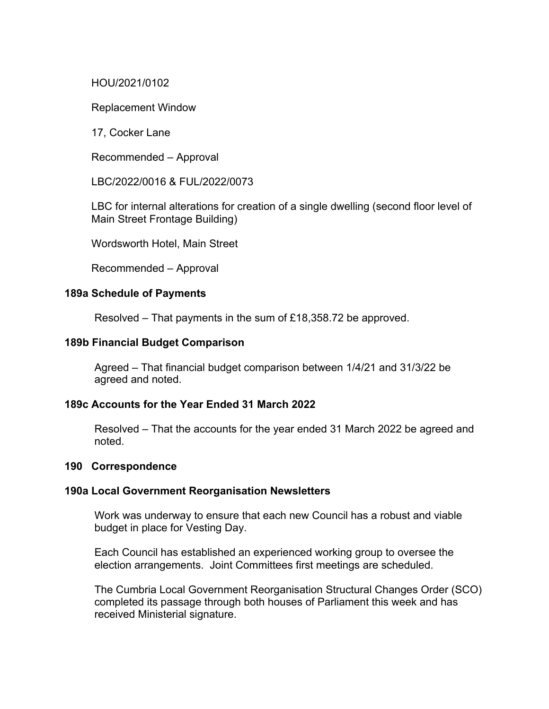## HOU/2021/0102

Replacement Window

17, Cocker Lane

Recommended – Approval

LBC/2022/0016 & FUL/2022/0073

 LBC for internal alterations for creation of a single dwelling (second floor level of Main Street Frontage Building)

Wordsworth Hotel, Main Street

Recommended – Approval

#### **189a Schedule of Payments**

Resolved – That payments in the sum of £18,358.72 be approved.

## **189b Financial Budget Comparison**

Agreed – That financial budget comparison between 1/4/21 and 31/3/22 be agreed and noted.

# **189c Accounts for the Year Ended 31 March 2022**

 Resolved – That the accounts for the year ended 31 March 2022 be agreed and noted.

#### **190 Correspondence**

#### **190a Local Government Reorganisation Newsletters**

Work was underway to ensure that each new Council has a robust and viable budget in place for Vesting Day.

 Each Council has established an experienced working group to oversee the election arrangements. Joint Committees first meetings are scheduled.

 The Cumbria Local Government Reorganisation Structural Changes Order (SCO) completed its passage through both houses of Parliament this week and has received Ministerial signature.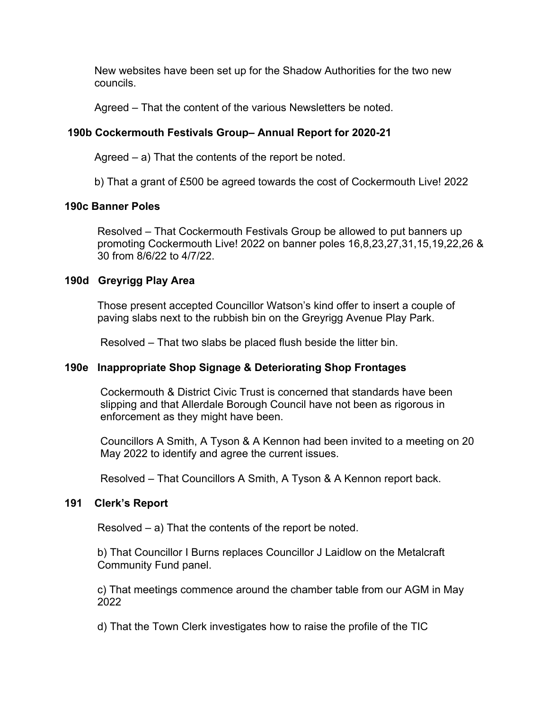New websites have been set up for the Shadow Authorities for the two new councils.

Agreed – That the content of the various Newsletters be noted.

# **190b Cockermouth Festivals Group– Annual Report for 2020-21**

Agreed – a) That the contents of the report be noted.

b) That a grant of £500 be agreed towards the cost of Cockermouth Live! 2022

# **190c Banner Poles**

Resolved – That Cockermouth Festivals Group be allowed to put banners up promoting Cockermouth Live! 2022 on banner poles 16,8,23,27,31,15,19,22,26 & 30 from 8/6/22 to 4/7/22.

## **190d Greyrigg Play Area**

Those present accepted Councillor Watson's kind offer to insert a couple of paving slabs next to the rubbish bin on the Greyrigg Avenue Play Park.

Resolved – That two slabs be placed flush beside the litter bin.

# **190e Inappropriate Shop Signage & Deteriorating Shop Frontages**

Cockermouth & District Civic Trust is concerned that standards have been slipping and that Allerdale Borough Council have not been as rigorous in enforcement as they might have been.

 Councillors A Smith, A Tyson & A Kennon had been invited to a meeting on 20 May 2022 to identify and agree the current issues.

Resolved – That Councillors A Smith, A Tyson & A Kennon report back.

#### **191 Clerk's Report**

Resolved – a) That the contents of the report be noted.

 b) That Councillor I Burns replaces Councillor J Laidlow on the Metalcraft Community Fund panel.

 c) That meetings commence around the chamber table from our AGM in May 2022

d) That the Town Clerk investigates how to raise the profile of the TIC